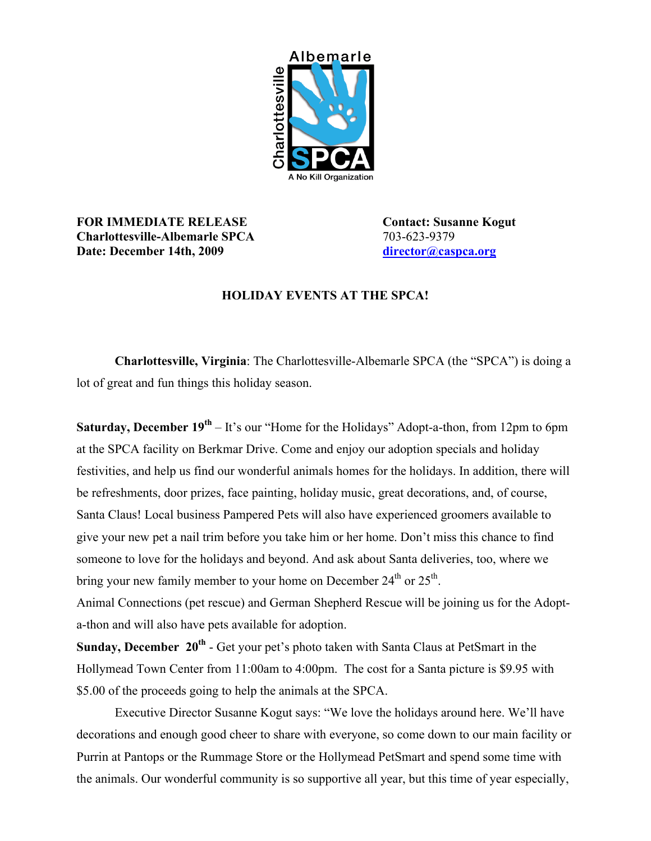

## **FOR IMMEDIATE RELEASE Contact: Susanne Kogut Charlottesville-Albemarle SPCA** 703-623-9379 **Date:** December 14th, 2009

## **HOLIDAY EVENTS AT THE SPCA!**

**Charlottesville, Virginia**: The Charlottesville-Albemarle SPCA (the "SPCA") is doing a lot of great and fun things this holiday season.

**Saturday, December 19<sup>th</sup>** – It's our "Home for the Holidays" Adopt-a-thon, from 12pm to 6pm at the SPCA facility on Berkmar Drive. Come and enjoy our adoption specials and holiday festivities, and help us find our wonderful animals homes for the holidays. In addition, there will be refreshments, door prizes, face painting, holiday music, great decorations, and, of course, Santa Claus! Local business Pampered Pets will also have experienced groomers available to give your new pet a nail trim before you take him or her home. Don't miss this chance to find someone to love for the holidays and beyond. And ask about Santa deliveries, too, where we bring your new family member to your home on December  $24<sup>th</sup>$  or  $25<sup>th</sup>$ .

Animal Connections (pet rescue) and German Shepherd Rescue will be joining us for the Adopta-thon and will also have pets available for adoption.

**Sunday, December 20<sup>th</sup>** - Get your pet's photo taken with Santa Claus at PetSmart in the Hollymead Town Center from 11:00am to 4:00pm. The cost for a Santa picture is \$9.95 with \$5.00 of the proceeds going to help the animals at the SPCA.

Executive Director Susanne Kogut says: "We love the holidays around here. We'll have decorations and enough good cheer to share with everyone, so come down to our main facility or Purrin at Pantops or the Rummage Store or the Hollymead PetSmart and spend some time with the animals. Our wonderful community is so supportive all year, but this time of year especially,